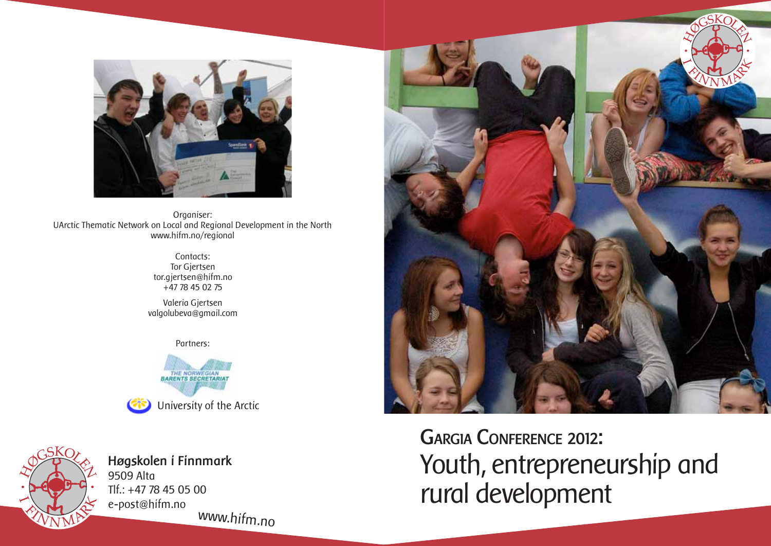

Organiser: UArctic Thematic Network on Local and Regional Development in the North www.hifm.no/regional

> Contacts: Tor Gjertsen tor.gjertsen@hifm.no +47 78 45 02 75

Valeria Gjertsen valgolubeva@gmail.com

Partners:





**Høgskolen i Finnmark** 9509 Alta Tlf.: +47 78 45 05 00 e-post@hifm.no www.hifm.no



**Gargia Conference 2012:**  Youth, entrepreneurship and rural development